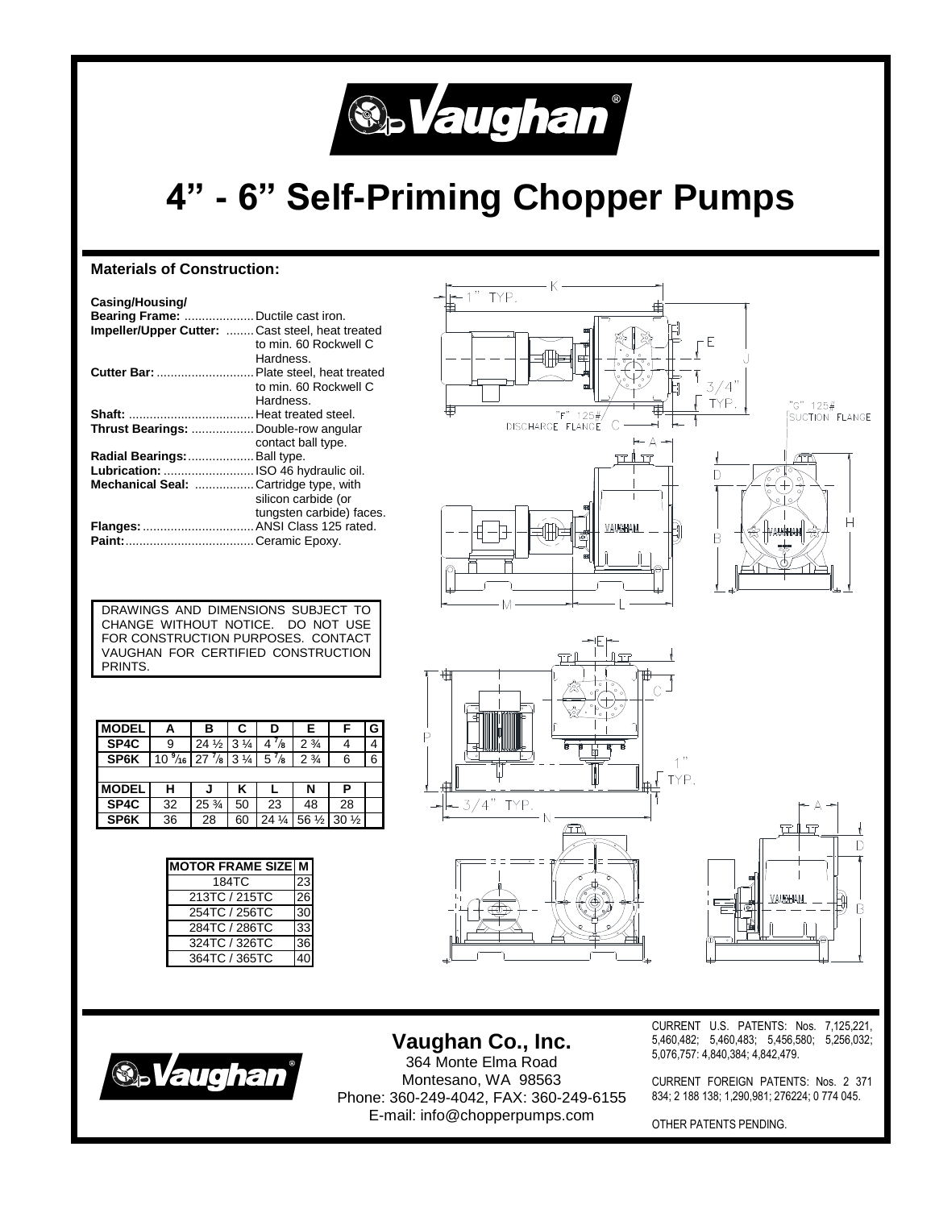

# **4" - 6" Self-Priming Chopper Pumps**

### **Materials of Construction:**

| Casing/Housing/<br>Bearing Frame:  Ductile cast iron.<br>Impeller/Upper Cutter:  Cast steel, heat treated |                                    |
|-----------------------------------------------------------------------------------------------------------|------------------------------------|
|                                                                                                           | to min. 60 Rockwell C<br>Hardness. |
| Cutter Bar:  Plate steel, heat treated                                                                    |                                    |
|                                                                                                           | to min. 60 Rockwell C<br>Hardness. |
|                                                                                                           |                                    |
| Thrust Bearings:  Double-row angular                                                                      |                                    |
|                                                                                                           | contact ball type.                 |
| Radial Bearings:  Ball type.                                                                              |                                    |
| Lubrication:  ISO 46 hydraulic oil.                                                                       |                                    |
| Mechanical Seal: Cartridge type, with                                                                     |                                    |
|                                                                                                           | silicon carbide (or                |
|                                                                                                           | tungsten carbide) faces.           |
| Flanges:  ANSI Class 125 rated.                                                                           |                                    |
|                                                                                                           |                                    |



DRAWINGS AND DIMENSIONS SUBJECT TO CHANGE WITHOUT NOTICE. DO NOT USE FOR CONSTRUCTION PURPOSES. CONTACT VAUGHAN FOR CERTIFIED CONSTRUCTION PRINTS.

| <b>MODEL</b> | Α  | в                                                 | C              | D               | Е                | F               | G |
|--------------|----|---------------------------------------------------|----------------|-----------------|------------------|-----------------|---|
| SP4C         | 9  | $24\frac{1}{2}$                                   | $3\frac{1}{4}$ | $4^{7}/s$       | $2\frac{3}{4}$   |                 |   |
| SP6K         |    | $10\frac{9}{16}$ 27 $\frac{7}{8}$ 3 $\frac{1}{4}$ |                | $5\frac{7}{8}$  | $2\frac{3}{4}$   | 6               | 6 |
|              |    |                                                   |                |                 |                  |                 |   |
| <b>MODEL</b> | н  |                                                   | Κ              |                 | N                | Р               |   |
| SP4C         | 32 | $25\frac{3}{4}$                                   | 50             | 23              | 48               | 28              |   |
| SP6K         | 36 | 28                                                | 60             | $24\frac{1}{4}$ | 56 $\frac{1}{2}$ | $30\frac{1}{2}$ |   |

| <b>MOTOR FRAME SIZE M</b> |  |
|---------------------------|--|
| 184TC                     |  |
| 213TC / 215TC             |  |
| 254TC / 256TC             |  |
| 284TC / 286TC             |  |
| 324TC / 326TC             |  |
| 364TC / 365TC             |  |







## **Vaughan Co., Inc.**

364 Monte Elma Road Montesano, WA 98563 Phone: 360-249-4042, FAX: 360-249-6155 E-mail: info@chopperpumps.com

CURRENT U.S. PATENTS: Nos. 7,125,221, 5,460,482; 5,460,483; 5,456,580; 5,256,032; 5,076,757: 4,840,384; 4,842,479.

CURRENT FOREIGN PATENTS: Nos. 2 371 834; 2 188 138; 1,290,981; 276224; 0 774 045.

OTHER PATENTS PENDING.